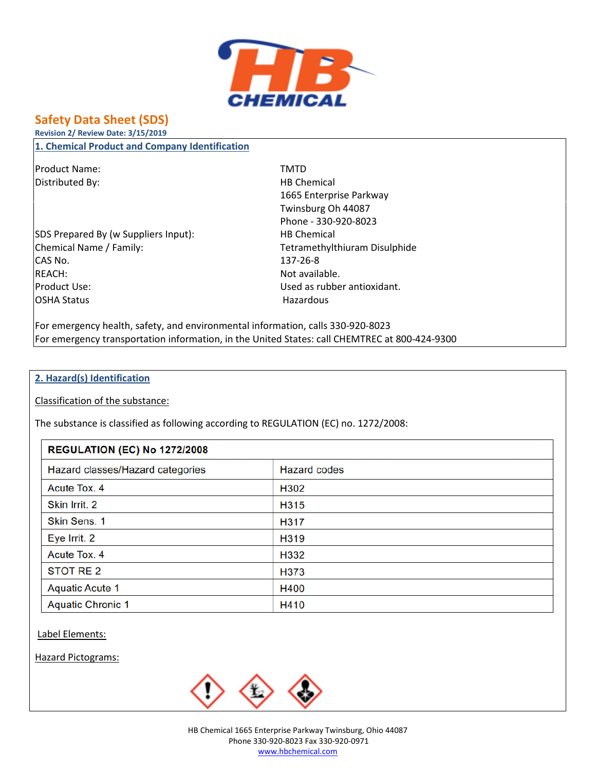

# **Safety Data Sheet (SDS)**

**Revision 2/ Review Date: 3/15/2019**

**1. Chemical Product and Company Identification**

Product Name: TMTD Distributed By: Notice and the Material HB Chemical

SDS Prepared By (w Suppliers Input): HB Chemical Chemical Name / Family: Tetramethylthiuram Disulphide CAS No. 137-26-8 REACH: Not available. Product Use: Used as rubber antioxidant. OSHA Status **Hazardous** Hazardous

1665 Enterprise Parkway Twinsburg Oh 44087 Phone - 330-920-8023

For emergency health, safety, and environmental information, calls 330-920-8023 For emergency transportation information, in the United States: call CHEMTREC at 800-424-9300

#### **2. Hazard(s) Identification**

Classification of the substance:

The substance is classified as following according to REGULATION (EC) no. 1272/2008:

#### **REGULATION (EC) No 1272/2008**

| Hazard classes/Hazard categories | <b>Hazard codes</b> |  |
|----------------------------------|---------------------|--|
| Acute Tox. 4                     | H302                |  |
| Skin Irrit. 2                    | H315                |  |
| Skin Sens. 1                     | H317                |  |
| Eye Irrit. 2                     | H319                |  |
| Acute Tox. 4                     | H332                |  |
| STOT RE 2                        | H373                |  |
| <b>Aquatic Acute 1</b>           | H400                |  |
| <b>Aquatic Chronic 1</b>         | H410                |  |

Label Elements:

Hazard Pictograms:

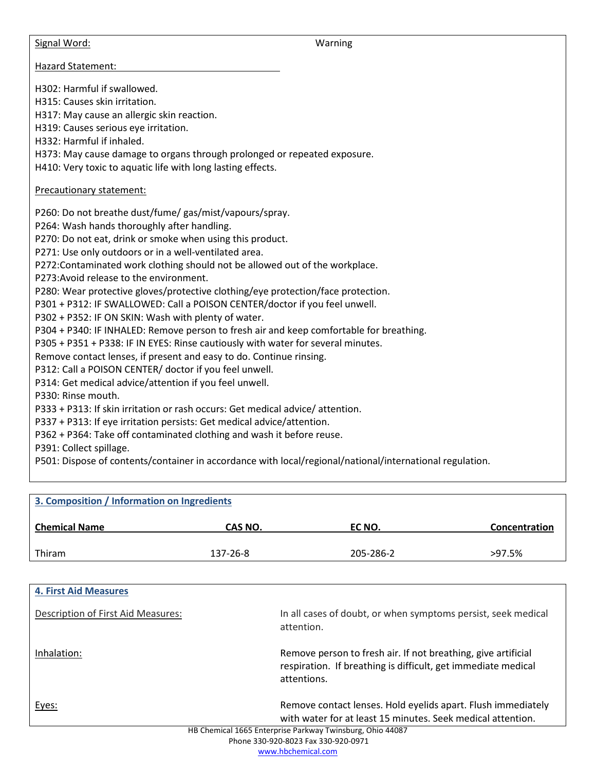Signal Word: Warning

Hazard Statement:

H302: Harmful if swallowed.

H315: Causes skin irritation.

H317: May cause an allergic skin reaction.

H319: Causes serious eye irritation.

H332: Harmful if inhaled.

H373: May cause damage to organs through prolonged or repeated exposure.

H410: Very toxic to aquatic life with long lasting effects.

#### Precautionary statement:

P260: Do not breathe dust/fume/ gas/mist/vapours/spray.

P264: Wash hands thoroughly after handling.

P270: Do not eat, drink or smoke when using this product.

P271: Use only outdoors or in a well-ventilated area.

P272:Contaminated work clothing should not be allowed out of the workplace.

P273:Avoid release to the environment.

P280: Wear protective gloves/protective clothing/eye protection/face protection.

P301 + P312: IF SWALLOWED: Call a POISON CENTER/doctor if you feel unwell.

P302 + P352: IF ON SKIN: Wash with plenty of water.

P304 + P340: IF INHALED: Remove person to fresh air and keep comfortable for breathing.

P305 + P351 + P338: IF IN EYES: Rinse cautiously with water for several minutes.

Remove contact lenses, if present and easy to do. Continue rinsing.

P312: Call a POISON CENTER/ doctor if you feel unwell.

P314: Get medical advice/attention if you feel unwell.

P330: Rinse mouth.

P333 + P313: If skin irritation or rash occurs: Get medical advice/ attention.

P337 + P313: If eye irritation persists: Get medical advice/attention.

P362 + P364: Take off contaminated clothing and wash it before reuse.

P391: Collect spillage.

P501: Dispose of contents/container in accordance with local/regional/national/international regulation.

| 3. Composition / Information on Ingredients |          |           |               |  |  |
|---------------------------------------------|----------|-----------|---------------|--|--|
| <b>Chemical Name</b>                        | CAS NO.  | EC NO.    | Concentration |  |  |
| Thiram                                      | 137-26-8 | 205-286-2 | $>97.5\%$     |  |  |

| <b>4. First Aid Measures</b>       |                                                                                                                                               |
|------------------------------------|-----------------------------------------------------------------------------------------------------------------------------------------------|
| Description of First Aid Measures: | In all cases of doubt, or when symptoms persist, seek medical<br>attention.                                                                   |
| Inhalation:                        | Remove person to fresh air. If not breathing, give artificial<br>respiration. If breathing is difficult, get immediate medical<br>attentions. |
| Eyes:                              | Remove contact lenses. Hold eyelids apart. Flush immediately<br>with water for at least 15 minutes. Seek medical attention.                   |
|                                    | HB Chemical 1665 Enterprise Parkway Twinsburg, Ohio 44087                                                                                     |
|                                    | <u>Dhana 220.020.0022.5% 220.020.0071</u>                                                                                                     |

Phone 330-920-8023 Fax 330-920-0971 www.hbchemical.com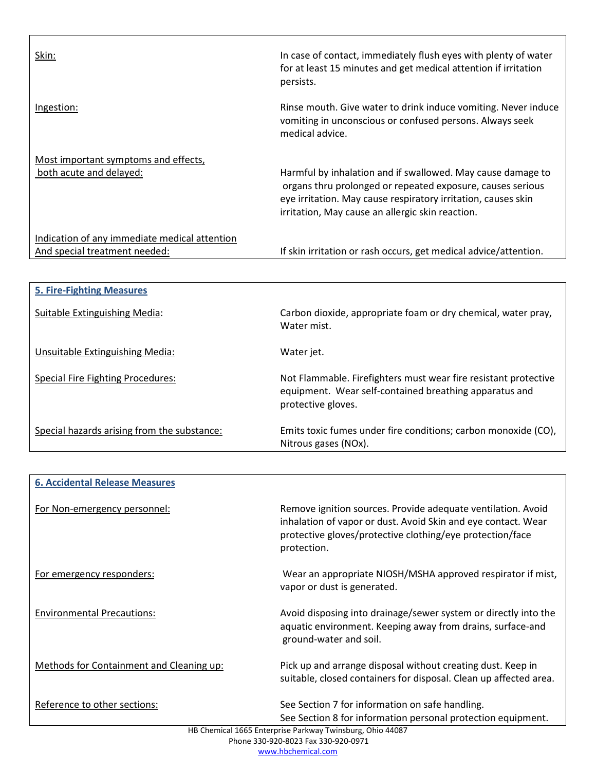| Skin:                                         | In case of contact, immediately flush eyes with plenty of water<br>for at least 15 minutes and get medical attention if irritation<br>persists.                                                                                                |
|-----------------------------------------------|------------------------------------------------------------------------------------------------------------------------------------------------------------------------------------------------------------------------------------------------|
| Ingestion:                                    | Rinse mouth. Give water to drink induce vomiting. Never induce<br>vomiting in unconscious or confused persons. Always seek<br>medical advice.                                                                                                  |
| Most important symptoms and effects,          |                                                                                                                                                                                                                                                |
| both acute and delayed:                       | Harmful by inhalation and if swallowed. May cause damage to<br>organs thru prolonged or repeated exposure, causes serious<br>eye irritation. May cause respiratory irritation, causes skin<br>irritation, May cause an allergic skin reaction. |
| Indication of any immediate medical attention |                                                                                                                                                                                                                                                |
| And special treatment needed:                 | If skin irritation or rash occurs, get medical advice/attention.                                                                                                                                                                               |
|                                               |                                                                                                                                                                                                                                                |
| <b>5. Fire-Fighting Measures</b>              |                                                                                                                                                                                                                                                |
| <b>Suitable Extinguishing Media:</b>          | Carbon dioxide, appropriate foam or dry chemical, water pray,<br>Water mist.                                                                                                                                                                   |

Unsuitable Extinguishing Media: Water jet.

| Special hazards arising from the substance: | Emits toxic fumes under fire conditions; carbon monoxide (CO),<br>Nitrous gases (NOx).                                                                                                                    |
|---------------------------------------------|-----------------------------------------------------------------------------------------------------------------------------------------------------------------------------------------------------------|
|                                             |                                                                                                                                                                                                           |
| <b>6. Accidental Release Measures</b>       |                                                                                                                                                                                                           |
| For Non-emergency personnel:                | Remove ignition sources. Provide adequate ventilation. Avoid<br>inhalation of vapor or dust. Avoid Skin and eye contact. Wear<br>protective gloves/protective clothing/eye protection/face<br>protection. |
| For emergency responders:                   | Wear an appropriate NIOSH/MSHA approved respirator if mist,<br>vapor or dust is generated.                                                                                                                |
| <b>Environmental Precautions:</b>           | Avoid disposing into drainage/sewer system or directly into the<br>aquatic environment. Keeping away from drains, surface-and<br>ground-water and soil.                                                   |

Special Fire Fighting Procedures: Not Flammable. Firefighters must wear fire resistant protective

protective gloves.

Methods for Containment and Cleaning up: Pick up and arrange disposal without creating dust. Keep in suitable, closed containers for disposal. Clean up affected area.

equipment. Wear self-contained breathing apparatus and

Reference to other sections: See Section 7 for information on safe handling. See Section 8 for information personal protection equipment.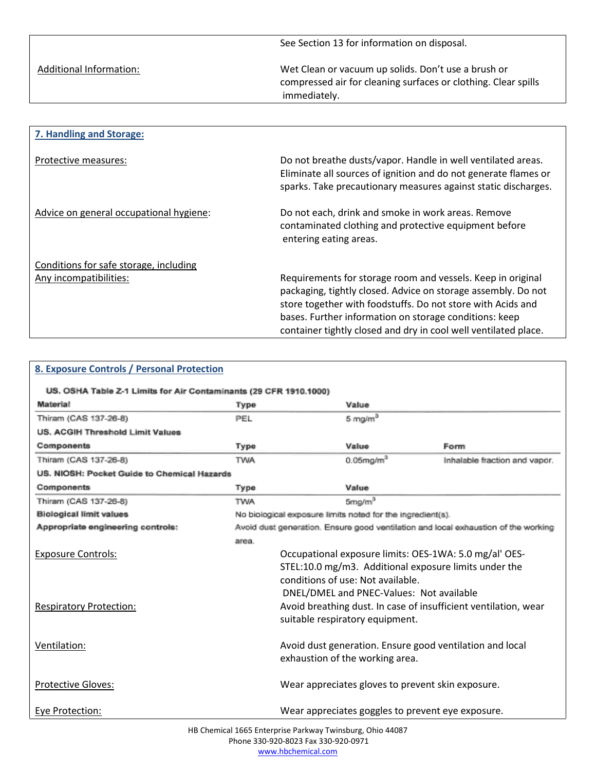See Section 13 for information on disposal.

Additional Information: Met Clean or vacuum up solids. Don't use a brush or compressed air for cleaning surfaces or clothing. Clear spills immediately.

| 7. Handling and Storage:                |                                                                                                                                                                                                                                                                                                                          |
|-----------------------------------------|--------------------------------------------------------------------------------------------------------------------------------------------------------------------------------------------------------------------------------------------------------------------------------------------------------------------------|
|                                         |                                                                                                                                                                                                                                                                                                                          |
| Protective measures:                    | Do not breathe dusts/vapor. Handle in well ventilated areas.<br>Eliminate all sources of ignition and do not generate flames or<br>sparks. Take precautionary measures against static discharges.                                                                                                                        |
| Advice on general occupational hygiene: | Do not each, drink and smoke in work areas. Remove<br>contaminated clothing and protective equipment before<br>entering eating areas.                                                                                                                                                                                    |
| Conditions for safe storage, including  |                                                                                                                                                                                                                                                                                                                          |
| Any incompatibilities:                  | Requirements for storage room and vessels. Keep in original<br>packaging, tightly closed. Advice on storage assembly. Do not<br>store together with foodstuffs. Do not store with Acids and<br>bases. Further information on storage conditions: keep<br>container tightly closed and dry in cool well ventilated place. |

| 8. Exposure Controls / Personal Protection                        |                                                          |                                                            |                                                                                    |  |
|-------------------------------------------------------------------|----------------------------------------------------------|------------------------------------------------------------|------------------------------------------------------------------------------------|--|
| US. OSHA Table Z-1 Limits for Air Contaminants (29 CFR 1910.1000) |                                                          |                                                            |                                                                                    |  |
| Material                                                          | Type                                                     | Value                                                      |                                                                                    |  |
| Thiram (CAS 137-26-8)                                             | PEL                                                      | 5 mg/m <sup>3</sup>                                        |                                                                                    |  |
| US. ACGIH Threshold Limit Values                                  |                                                          |                                                            |                                                                                    |  |
| Components                                                        | Type                                                     | Value                                                      | Form                                                                               |  |
| Thiram (CAS 137-26-8)                                             | <b>TWA</b>                                               | $0.05$ mg/m $^3$                                           | Inhalable fraction and vapor.                                                      |  |
| US. NIOSH: Pocket Guide to Chemical Hazards                       |                                                          |                                                            |                                                                                    |  |
| Components                                                        | Type                                                     | Value                                                      |                                                                                    |  |
| Thiram (CAS 137-26-8)                                             | <b>TWA</b>                                               | 5mg/m <sup>3</sup>                                         |                                                                                    |  |
| <b>Biological limit values</b>                                    |                                                          | No biological exposure limits noted for the ingredient(s). |                                                                                    |  |
| Appropriate engineering controls:                                 |                                                          |                                                            | Avoid dust generation. Ensure good ventilation and local exhaustion of the working |  |
|                                                                   | area.                                                    |                                                            |                                                                                    |  |
| <b>Exposure Controls:</b>                                         |                                                          | Occupational exposure limits: OES-1WA: 5.0 mg/al' OES-     |                                                                                    |  |
|                                                                   |                                                          | STEL:10.0 mg/m3. Additional exposure limits under the      |                                                                                    |  |
|                                                                   |                                                          | conditions of use: Not available.                          |                                                                                    |  |
|                                                                   |                                                          | DNEL/DMEL and PNEC-Values: Not available                   |                                                                                    |  |
| <b>Respiratory Protection:</b>                                    |                                                          |                                                            | Avoid breathing dust. In case of insufficient ventilation, wear                    |  |
|                                                                   |                                                          | suitable respiratory equipment.                            |                                                                                    |  |
| Ventilation:                                                      | Avoid dust generation. Ensure good ventilation and local |                                                            |                                                                                    |  |
|                                                                   |                                                          | exhaustion of the working area.                            |                                                                                    |  |
| <b>Protective Gloves:</b>                                         |                                                          | Wear appreciates gloves to prevent skin exposure.          |                                                                                    |  |
| Eye Protection:                                                   |                                                          | Wear appreciates goggles to prevent eye exposure.          |                                                                                    |  |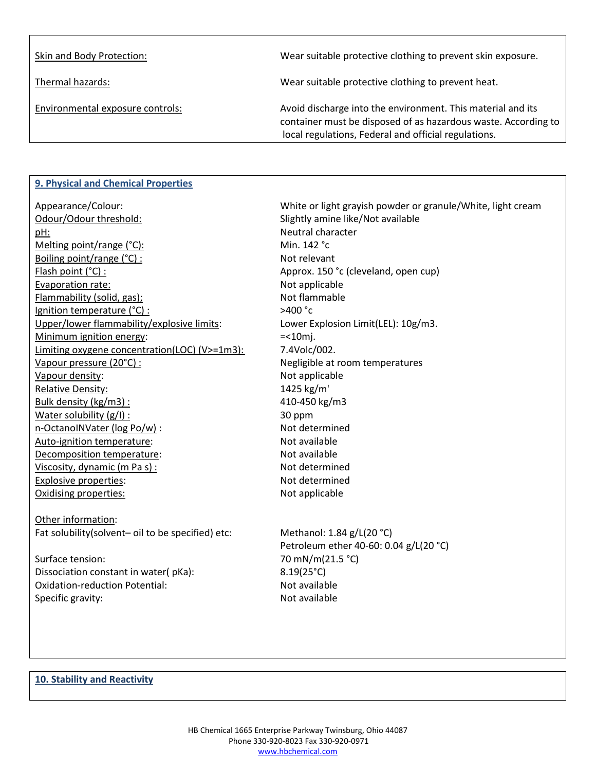| Skin and Body Protection:        | Wear suitable protective clothing to prevent skin exposure.                                                                                                                           |
|----------------------------------|---------------------------------------------------------------------------------------------------------------------------------------------------------------------------------------|
| Thermal hazards:                 | Wear suitable protective clothing to prevent heat.                                                                                                                                    |
| Environmental exposure controls: | Avoid discharge into the environment. This material and its<br>container must be disposed of as hazardous waste. According to<br>local regulations, Federal and official regulations. |

## **9. Physical and Chemical Properties**

| Appearance/Colour:                                | White or light grayish powder or granule/White, light cream |
|---------------------------------------------------|-------------------------------------------------------------|
| Odour/Odour threshold:                            | Slightly amine like/Not available                           |
| pH:                                               | Neutral character                                           |
| Melting point/range (°C):                         | Min. 142 °C                                                 |
| Boiling point/range (°C) :                        | Not relevant                                                |
| Flash point (°C) :                                | Approx. 150 °c (cleveland, open cup)                        |
| Evaporation rate:                                 | Not applicable                                              |
| Flammability (solid, gas);                        | Not flammable                                               |
| Ignition temperature (°C) :                       | >400 °c                                                     |
| Upper/lower flammability/explosive limits:        | Lower Explosion Limit(LEL): 10g/m3.                         |
| Minimum ignition energy:                          | $=$ < 10 $m$ j.                                             |
| Limiting oxygene concentration(LOC) (V>=1m3):     | 7.4Volc/002.                                                |
| Vapour pressure (20°C) :                          | Negligible at room temperatures                             |
| Vapour density:                                   | Not applicable                                              |
| Relative Density:                                 | 1425 kg/m'                                                  |
| Bulk density (kg/m3):                             | 410-450 kg/m3                                               |
| Water solubility (g/l) :                          | 30 ppm                                                      |
| n-OctanoINVater (log Po/w) :                      | Not determined                                              |
| Auto-ignition temperature:                        | Not available                                               |
| Decomposition temperature:                        | Not available                                               |
| Viscosity, dynamic (m Pa s) :                     | Not determined                                              |
| Explosive properties:                             | Not determined                                              |
| Oxidising properties:                             | Not applicable                                              |
| Other information:                                |                                                             |
| Fat solubility(solvent- oil to be specified) etc: | Methanol: 1.84 g/L(20 °C)                                   |
|                                                   | Petroleum ether 40-60: 0.04 g/L(20 °C)                      |
| Surface tension:                                  | 70 mN/m(21.5 °C)                                            |
| Dissociation constant in water(pKa):              | $8.19(25^{\circ}C)$                                         |

Oxidation-reduction Potential: Not available Specific gravity:  $\blacksquare$ 

## **10. Stability and Reactivity**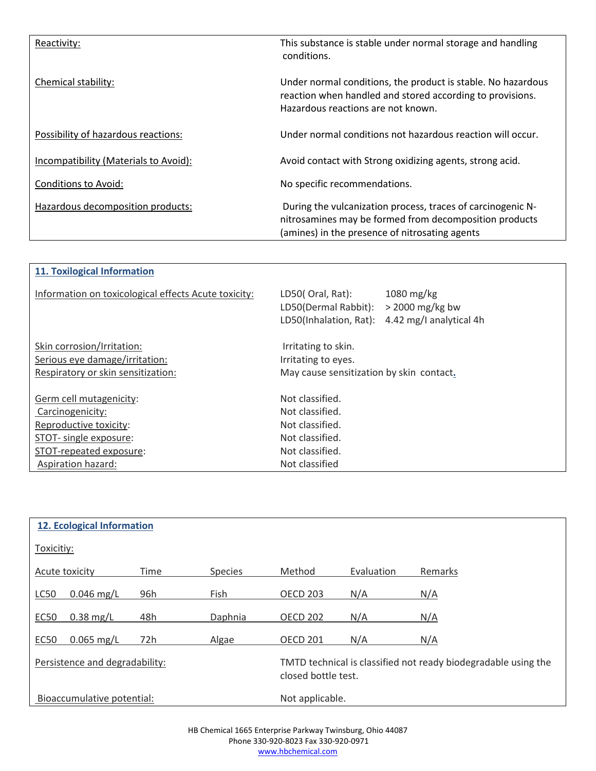| Reactivity:                           | This substance is stable under normal storage and handling<br>conditions.                                                                                               |
|---------------------------------------|-------------------------------------------------------------------------------------------------------------------------------------------------------------------------|
| Chemical stability:                   | Under normal conditions, the product is stable. No hazardous<br>reaction when handled and stored according to provisions.<br>Hazardous reactions are not known.         |
| Possibility of hazardous reactions:   | Under normal conditions not hazardous reaction will occur.                                                                                                              |
| Incompatibility (Materials to Avoid): | Avoid contact with Strong oxidizing agents, strong acid.                                                                                                                |
| <b>Conditions to Avoid:</b>           | No specific recommendations.                                                                                                                                            |
| Hazardous decomposition products:     | During the vulcanization process, traces of carcinogenic N-<br>nitrosamines may be formed from decomposition products<br>(amines) in the presence of nitrosating agents |

| <b>11. Toxilogical Information</b>                   |                                                                    |                                                            |  |
|------------------------------------------------------|--------------------------------------------------------------------|------------------------------------------------------------|--|
| Information on toxicological effects Acute toxicity: | LD50(Oral, Rat):<br>LD50(Dermal Rabbit):<br>LD50(Inhalation, Rat): | 1080 mg/kg<br>$>$ 2000 mg/kg bw<br>4.42 mg/l analytical 4h |  |
| Skin corrosion/Irritation:                           | Irritating to skin.                                                |                                                            |  |
| Serious eye damage/irritation:                       | Irritating to eyes.                                                |                                                            |  |
| Respiratory or skin sensitization:                   | May cause sensitization by skin contact.                           |                                                            |  |
| Germ cell mutagenicity:                              | Not classified.                                                    |                                                            |  |
| Carcinogenicity:                                     | Not classified.                                                    |                                                            |  |
| Reproductive toxicity:                               | Not classified.                                                    |                                                            |  |
| STOT- single exposure:                               | Not classified.                                                    |                                                            |  |
| STOT-repeated exposure:                              | Not classified.                                                    |                                                            |  |
| Aspiration hazard:                                   | Not classified                                                     |                                                            |  |

|                                | <b>12. Ecological Information</b> |                                                                |                |                 |            |         |
|--------------------------------|-----------------------------------|----------------------------------------------------------------|----------------|-----------------|------------|---------|
|                                |                                   |                                                                |                |                 |            |         |
| Toxicitiy:                     |                                   |                                                                |                |                 |            |         |
|                                |                                   |                                                                |                |                 |            |         |
|                                | Acute toxicity                    | Time                                                           | <b>Species</b> | Method          | Evaluation | Remarks |
|                                |                                   |                                                                |                |                 |            |         |
| LC50                           | $0.046$ mg/L                      | 96h                                                            | Fish           | <b>OECD 203</b> | N/A        | N/A     |
|                                |                                   |                                                                |                |                 |            |         |
| EC <sub>50</sub>               | $0.38$ mg/L                       | 48h                                                            | Daphnia        | <b>OECD 202</b> | N/A        | N/A     |
|                                |                                   |                                                                |                |                 |            |         |
| <b>EC50</b>                    | $0.065$ mg/L                      | 72h                                                            | Algae          | <b>OECD 201</b> | N/A        | N/A     |
|                                |                                   |                                                                |                |                 |            |         |
| Persistence and degradability: |                                   | TMTD technical is classified not ready biodegradable using the |                |                 |            |         |
|                                |                                   | closed bottle test.                                            |                |                 |            |         |
|                                |                                   |                                                                |                |                 |            |         |
|                                | Bioaccumulative potential:        |                                                                |                | Not applicable. |            |         |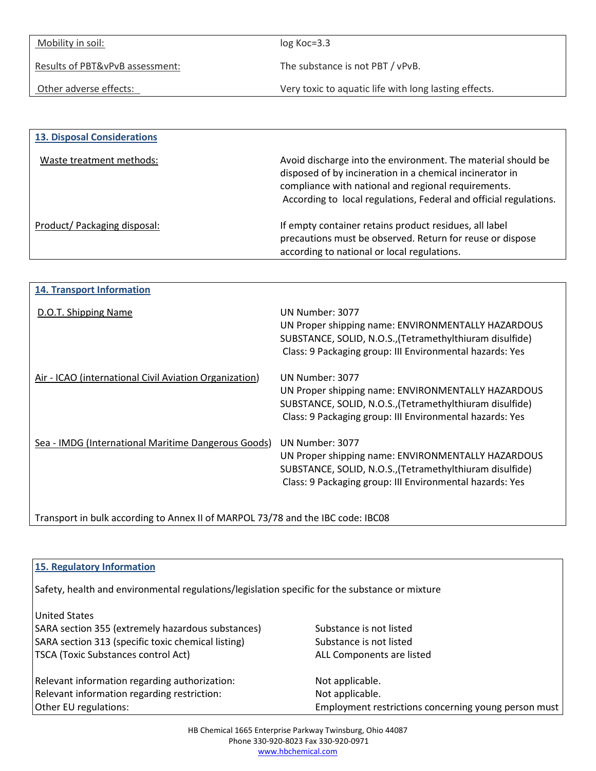| Mobility in soil:               | $log Koc = 3.3$                                       |  |
|---------------------------------|-------------------------------------------------------|--|
|                                 |                                                       |  |
| Results of PBT&vPvB assessment: | The substance is not PBT / vPvB.                      |  |
|                                 |                                                       |  |
| Other adverse effects:          | Very toxic to aquatic life with long lasting effects. |  |
|                                 |                                                       |  |

| <b>13. Disposal Considerations</b> |                                                                                                                                                                                                                                                      |
|------------------------------------|------------------------------------------------------------------------------------------------------------------------------------------------------------------------------------------------------------------------------------------------------|
| Waste treatment methods:           | Avoid discharge into the environment. The material should be<br>disposed of by incineration in a chemical incinerator in<br>compliance with national and regional requirements.<br>According to local regulations, Federal and official regulations. |
| Product/Packaging disposal:        | If empty container retains product residues, all label<br>precautions must be observed. Return for reuse or dispose<br>according to national or local regulations.                                                                                   |

| <b>14. Transport Information</b>                       |                                                                                                                                                                                               |
|--------------------------------------------------------|-----------------------------------------------------------------------------------------------------------------------------------------------------------------------------------------------|
| D.O.T. Shipping Name                                   | UN Number: 3077<br>UN Proper shipping name: ENVIRONMENTALLY HAZARDOUS<br>SUBSTANCE, SOLID, N.O.S., (Tetramethylthiuram disulfide)<br>Class: 9 Packaging group: III Environmental hazards: Yes |
| Air - ICAO (international Civil Aviation Organization) | UN Number: 3077<br>UN Proper shipping name: ENVIRONMENTALLY HAZARDOUS<br>SUBSTANCE, SOLID, N.O.S., (Tetramethylthiuram disulfide)<br>Class: 9 Packaging group: III Environmental hazards: Yes |
| Sea - IMDG (International Maritime Dangerous Goods)    | UN Number: 3077<br>UN Proper shipping name: ENVIRONMENTALLY HAZARDOUS<br>SUBSTANCE, SOLID, N.O.S., (Tetramethylthiuram disulfide)<br>Class: 9 Packaging group: III Environmental hazards: Yes |

Transport in bulk according to Annex II of MARPOL 73/78 and the IBC code: IBC08

| 15. Regulatory Information                                                                     |                                                      |  |
|------------------------------------------------------------------------------------------------|------------------------------------------------------|--|
| Safety, health and environmental regulations/legislation specific for the substance or mixture |                                                      |  |
| <b>United States</b>                                                                           |                                                      |  |
| SARA section 355 (extremely hazardous substances)                                              | Substance is not listed                              |  |
| SARA section 313 (specific toxic chemical listing)                                             | Substance is not listed                              |  |
| <b>TSCA (Toxic Substances control Act)</b>                                                     | ALL Components are listed                            |  |
| Relevant information regarding authorization:                                                  | Not applicable.                                      |  |
| Relevant information regarding restriction:                                                    | Not applicable.                                      |  |
| Other EU regulations:                                                                          | Employment restrictions concerning young person must |  |